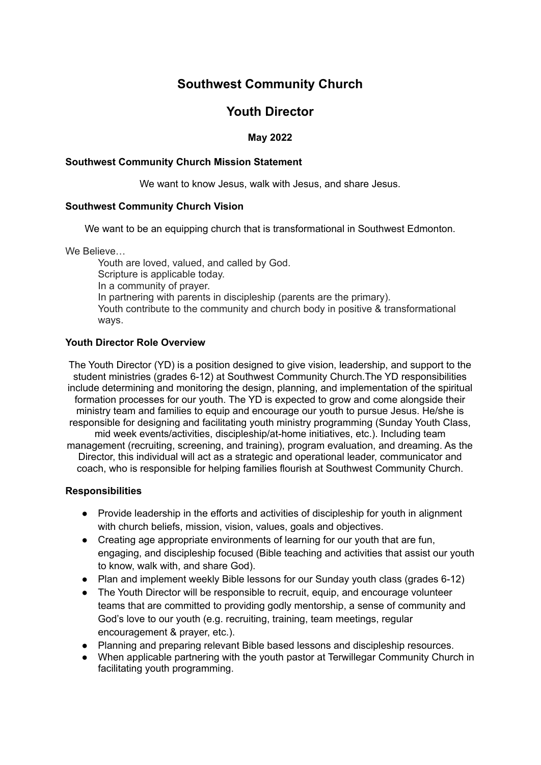# **Southwest Community Church**

## **Youth Director**

## **May 2022**

#### **Southwest Community Church Mission Statement**

We want to know Jesus, walk with Jesus, and share Jesus.

#### **Southwest Community Church Vision**

We want to be an equipping church that is transformational in Southwest Edmonton.

We Believe…

Youth are loved, valued, and called by God. Scripture is applicable today. In a community of prayer. In partnering with parents in discipleship (parents are the primary). Youth contribute to the community and church body in positive & transformational ways.

#### **Youth Director Role Overview**

The Youth Director (YD) is a position designed to give vision, leadership, and support to the student ministries (grades 6-12) at Southwest Community Church.The YD responsibilities include determining and monitoring the design, planning, and implementation of the spiritual formation processes for our youth. The YD is expected to grow and come alongside their ministry team and families to equip and encourage our youth to pursue Jesus. He/she is responsible for designing and facilitating youth ministry programming (Sunday Youth Class, mid week events/activities, discipleship/at-home initiatives, etc.). Including team management (recruiting, screening, and training), program evaluation, and dreaming. As the Director, this individual will act as a strategic and operational leader, communicator and coach, who is responsible for helping families flourish at Southwest Community Church.

#### **Responsibilities**

- Provide leadership in the efforts and activities of discipleship for youth in alignment with church beliefs, mission, vision, values, goals and objectives.
- Creating age appropriate environments of learning for our youth that are fun, engaging, and discipleship focused (Bible teaching and activities that assist our youth to know, walk with, and share God).
- Plan and implement weekly Bible lessons for our Sunday youth class (grades 6-12)
- The Youth Director will be responsible to recruit, equip, and encourage volunteer teams that are committed to providing godly mentorship, a sense of community and God's love to our youth (e.g. recruiting, training, team meetings, regular encouragement & prayer, etc.).
- Planning and preparing relevant Bible based lessons and discipleship resources.
- When applicable partnering with the youth pastor at Terwillegar Community Church in facilitating youth programming.